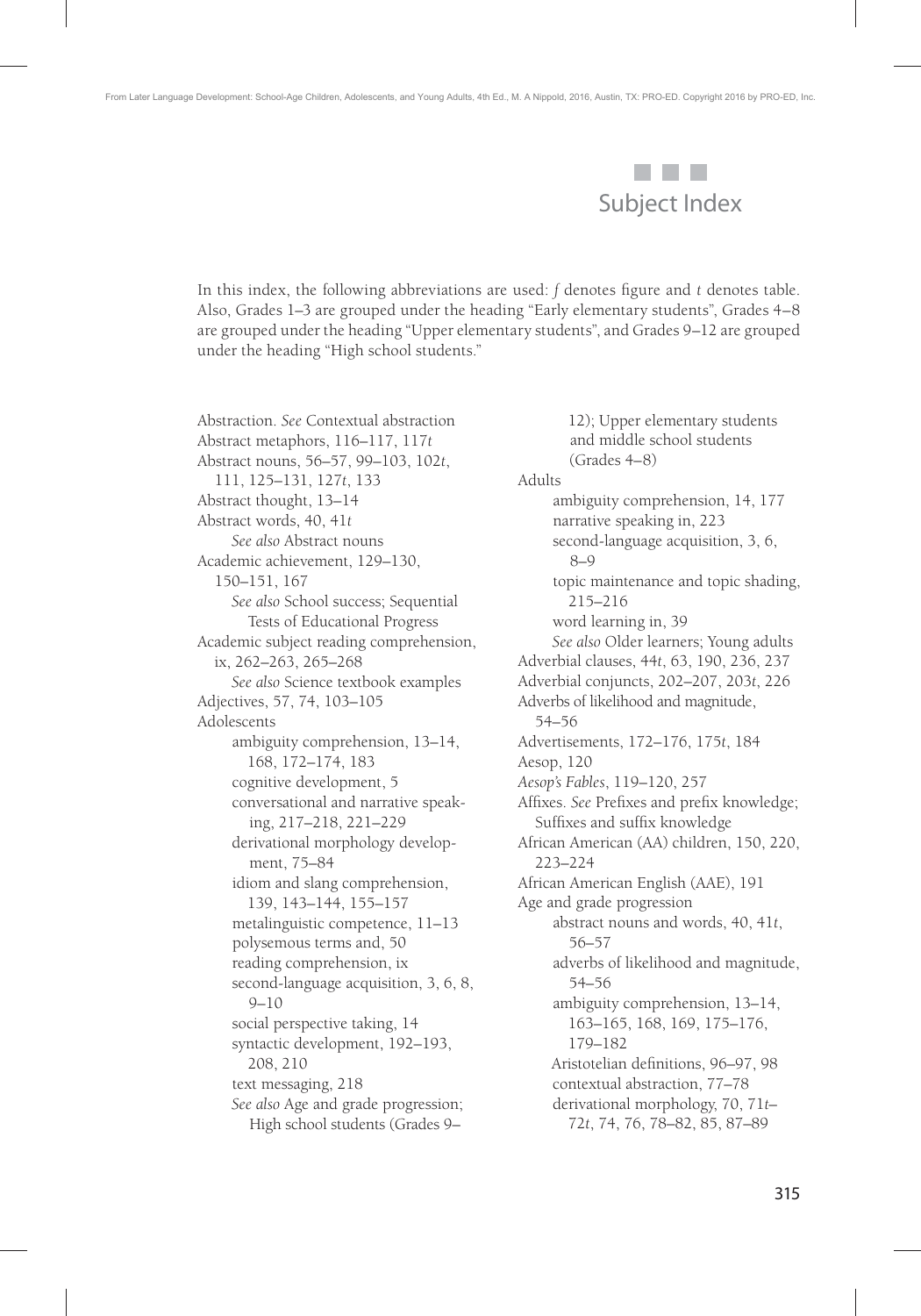

In this index, the following abbreviations are used:  $f$  denotes figure and  $t$  denotes table. Also, Grades 1–3 are grouped under the heading "Early elementary students", Grades 4–8 are grouped under the heading "Upper elementary students", and Grades 9–12 are grouped under the heading "High school students."

Abstraction. *See* Contextual abstraction Abstract metaphors, 116–117, 117*t* Abstract nouns, 56–57, 99–103, 102*t*, 111, 125–131, 127*t*, 133 Abstract thought, 13–14 Abstract words, 40, 41*t See also* Abstract nouns Academic achievement, 129–130, 150–151, 167 *See also* School success; Sequential Tests of Educational Progress Academic subject reading comprehension, ix, 262–263, 265–268 *See also* Science textbook examples Adjectives, 57, 74, 103–105 Adolescents ambiguity comprehension, 13–14, 168, 172–174, 183 cognitive development, 5 conversational and narrative speaking, 217–218, 221–229 derivational morphology development, 75–84 idiom and slang comprehension, 139, 143–144, 155–157 metalinguistic competence, 11–13 polysemous terms and, 50 reading comprehension, ix second-language acquisition, 3, 6, 8, 9–10 social perspective taking, 14 syntactic development, 192–193, 208, 210 text messaging, 218 *See also* Age and grade progression; High school students (Grades 9–

12); Upper elementary students and middle school students (Grades 4–8) Adults ambiguity comprehension, 14, 177 narrative speaking in, 223 second-language acquisition, 3, 6, 8–9 topic maintenance and topic shading, 215–216 word learning in, 39 *See also* Older learners; Young adults Adverbial clauses, 44*t*, 63, 190, 236, 237 Adverbial conjuncts, 202–207, 203*t*, 226 Adverbs of likelihood and magnitude, 54–56 Advertisements, 172–176, 175*t*, 184 Aesop, 120 *Aesop's Fables*, 119–120, 257 Affixes. See Prefixes and prefix knowledge; Suffixes and suffix knowledge African American (AA) children, 150, 220, 223–224 African American English (AAE), 191 Age and grade progression abstract nouns and words, 40, 41*t*, 56–57 adverbs of likelihood and magnitude, 54–56 ambiguity comprehension, 13–14, 163–165, 168, 169, 175–176, 179–182 Aristotelian definitions, 96-97, 98 contextual abstraction, 77–78 derivational morphology, 70, 71*t*– 72*t*, 74, 76, 78–82, 85, 87–89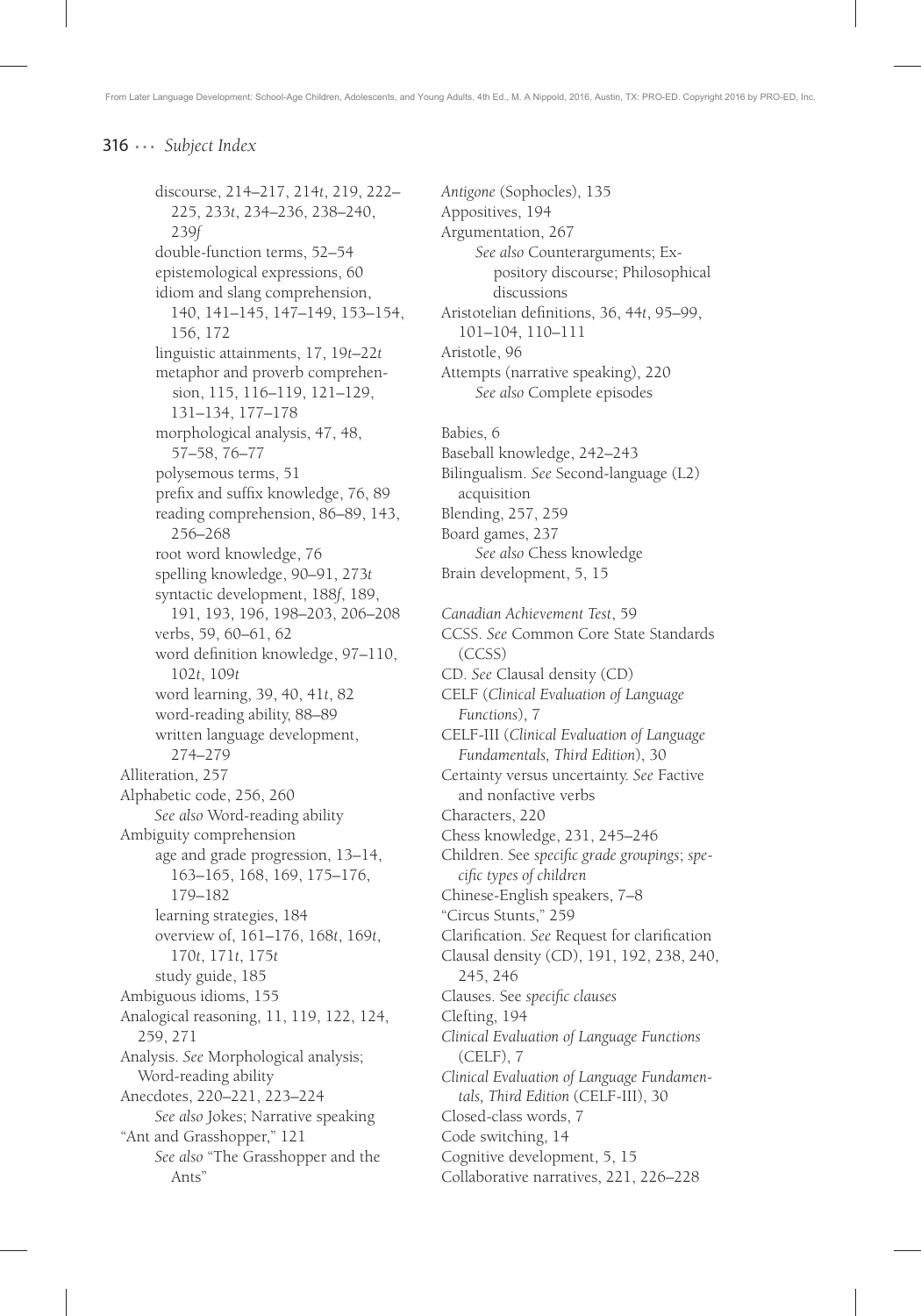discourse, 214–217, 214*t*, 219, 222– 225, 233*t*, 234–236, 238–240, 239*f* double-function terms, 52–54 epistemological expressions, 60 idiom and slang comprehension, 140, 141–145, 147–149, 153–154, 156, 172 linguistic attainments, 17, 19*t*–22*t* metaphor and proverb comprehension, 115, 116–119, 121–129, 131–134, 177–178 morphological analysis, 47, 48, 57–58, 76–77 polysemous terms, 51 prefix and suffix knowledge, 76, 89 reading comprehension, 86–89, 143, 256–268 root word knowledge, 76 spelling knowledge, 90–91, 273*t* syntactic development, 188*f*, 189, 191, 193, 196, 198–203, 206–208 verbs, 59, 60–61, 62 word definition knowledge, 97-110, 102*t*, 109*t* word learning, 39, 40, 41*t*, 82 word-reading ability, 88–89 written language development, 274–279 Alliteration, 257 Alphabetic code, 256, 260 *See also* Word-reading ability Ambiguity comprehension age and grade progression, 13–14, 163–165, 168, 169, 175–176, 179–182 learning strategies, 184 overview of, 161–176, 168*t*, 169*t*, 170*t*, 171*t*, 175*t* study guide, 185 Ambiguous idioms, 155 Analogical reasoning, 11, 119, 122, 124, 259, 271 Analysis. *See* Morphological analysis; Word-reading ability Anecdotes, 220–221, 223–224 *See also* Jokes; Narrative speaking "Ant and Grasshopper," 121 *See also* "The Grasshopper and the Ants"

*Antigone* (Sophocles), 135 Appositives, 194 Argumentation, 267 *See also* Counterarguments; Expository discourse; Philosophical discussions Aristotelian definitions, 36, 44t, 95-99, 101–104, 110–111 Aristotle, 96 Attempts (narrative speaking), 220 *See also* Complete episodes Babies, 6 Baseball knowledge, 242–243 Bilingualism. *See* Second-language (L2) acquisition Blending, 257, 259 Board games, 237 *See also* Chess knowledge Brain development, 5, 15 *Canadian Achievement Test*, 59 CCSS. *See* Common Core State Standards (CCSS) CD. *See* Clausal density (CD) CELF (*Clinical Evaluation of Language Functions*), 7 CELF-III (*Clinical Evaluation of Language Fundamentals, Third Edition*), 30 Certainty versus uncertainty. *See* Factive and nonfactive verbs Characters, 220 Chess knowledge, 231, 245–246 Children. See *specific grade groupings*; *specific types of children* Chinese-English speakers, 7–8 "Circus Stunts," 259 Clarification. See Request for clarification Clausal density (CD), 191, 192, 238, 240, 245, 246 Clauses. See *specifi c clauses* Clefting, 194 *Clinical Evaluation of Language Functions*  (CELF), 7 *Clinical Evaluation of Language Fundamentals, Third Edition* (CELF-III), 30 Closed-class words, 7 Code switching, 14 Cognitive development, 5, 15 Collaborative narratives, 221, 226–228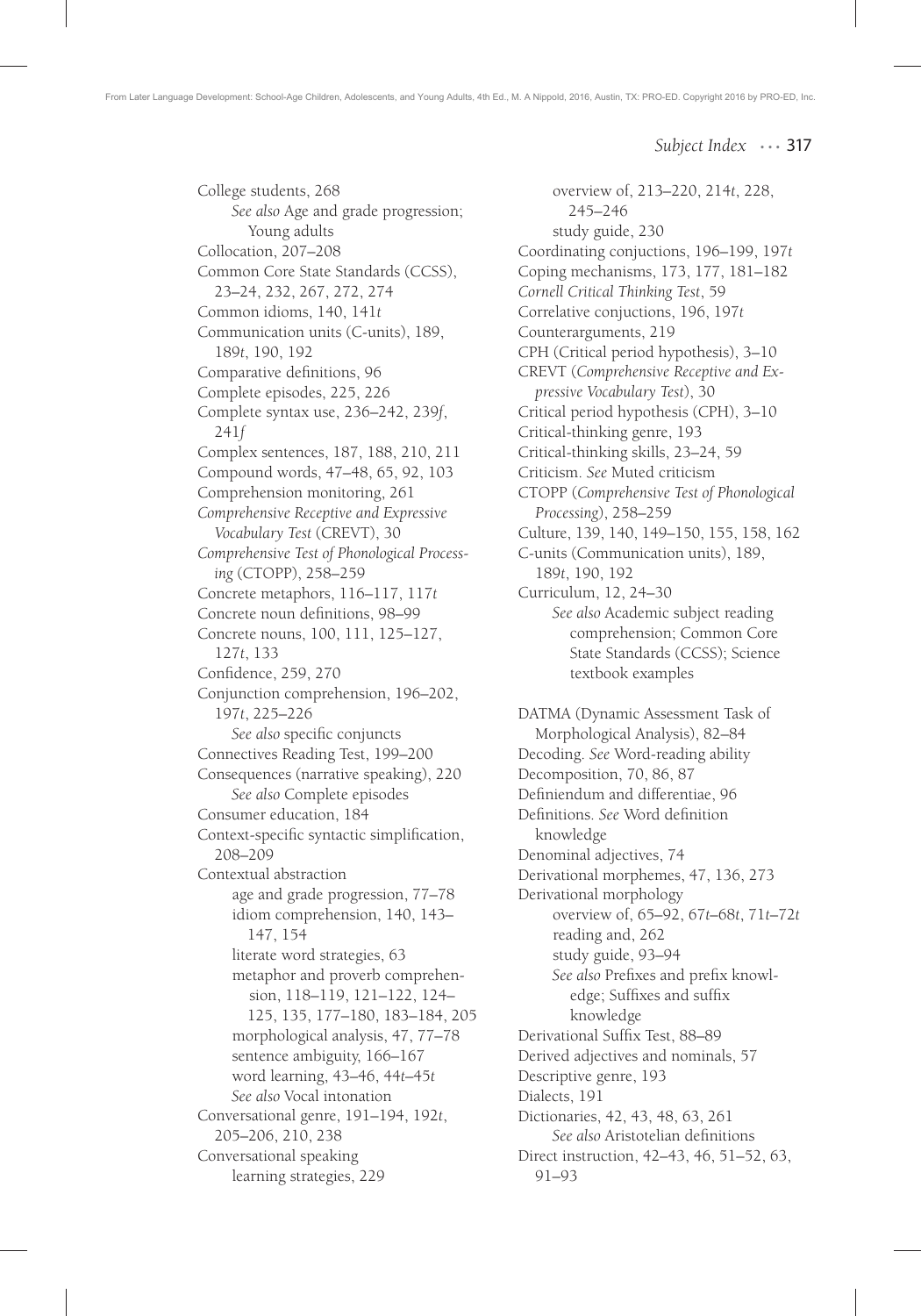College students, 268 *See also* Age and grade progression; Young adults Collocation, 207–208 Common Core State Standards (CCSS), 23–24, 232, 267, 272, 274 Common idioms, 140, 141*t* Communication units (C-units), 189, 189*t*, 190, 192 Comparative definitions, 96 Complete episodes, 225, 226 Complete syntax use, 236–242, 239*f*, 241*f* Complex sentences, 187, 188, 210, 211 Compound words, 47–48, 65, 92, 103 Comprehension monitoring, 261 *Comprehensive Receptive and Expressive Vocabulary Test* (CREVT), 30 *Comprehensive Test of Phonological Processing* (CTOPP), 258–259 Concrete metaphors, 116–117, 117*t* Concrete noun definitions, 98-99 Concrete nouns, 100, 111, 125–127, 127*t*, 133 Confidence, 259, 270 Conjunction comprehension, 196–202, 197*t*, 225–226 See also specific conjuncts Connectives Reading Test, 199–200 Consequences (narrative speaking), 220 *See also* Complete episodes Consumer education, 184 Context-specific syntactic simplification, 208–209 Contextual abstraction age and grade progression, 77–78 idiom comprehension, 140, 143– 147, 154 literate word strategies, 63 metaphor and proverb comprehension, 118–119, 121–122, 124– 125, 135, 177–180, 183–184, 205 morphological analysis, 47, 77–78 sentence ambiguity, 166–167 word learning, 43–46, 44*t*–45*t See also* Vocal intonation Conversational genre, 191–194, 192*t*, 205–206, 210, 238 Conversational speaking learning strategies, 229

overview of, 213–220, 214*t*, 228, 245–246 study guide, 230 Coordinating conjuctions, 196–199, 197*t* Coping mechanisms, 173, 177, 181–182 *Cornell Critical Thinking Test*, 59 Correlative conjuctions, 196, 197*t* Counterarguments, 219 CPH (Critical period hypothesis), 3–10 CREVT (*Comprehensive Receptive and Expressive Vocabulary Test*), 30 Critical period hypothesis (CPH), 3–10 Critical-thinking genre, 193 Critical-thinking skills, 23–24, 59 Criticism. *See* Muted criticism CTOPP (*Comprehensive Test of Phonological Processing*), 258–259 Culture, 139, 140, 149–150, 155, 158, 162 C-units (Communication units), 189, 189*t*, 190, 192 Curriculum, 12, 24–30 *See also* Academic subject reading comprehension; Common Core State Standards (CCSS); Science textbook examples DATMA (Dynamic Assessment Task of Morphological Analysis), 82–84 Decoding. *See* Word-reading ability Decomposition, 70, 86, 87 Definiendum and differentiae, 96 Definitions. See Word definition knowledge Denominal adjectives, 74 Derivational morphemes, 47, 136, 273 Derivational morphology overview of, 65–92, 67*t*–68*t*, 71*t*–72*t* reading and, 262 study guide, 93–94 See also Prefixes and prefix knowledge; Suffixes and suffix knowledge Derivational Suffix Test, 88-89 Derived adjectives and nominals, 57 Descriptive genre, 193 Dialects, 191 Dictionaries, 42, 43, 48, 63, 261 **See also Aristotelian definitions** Direct instruction, 42–43, 46, 51–52, 63, 91–93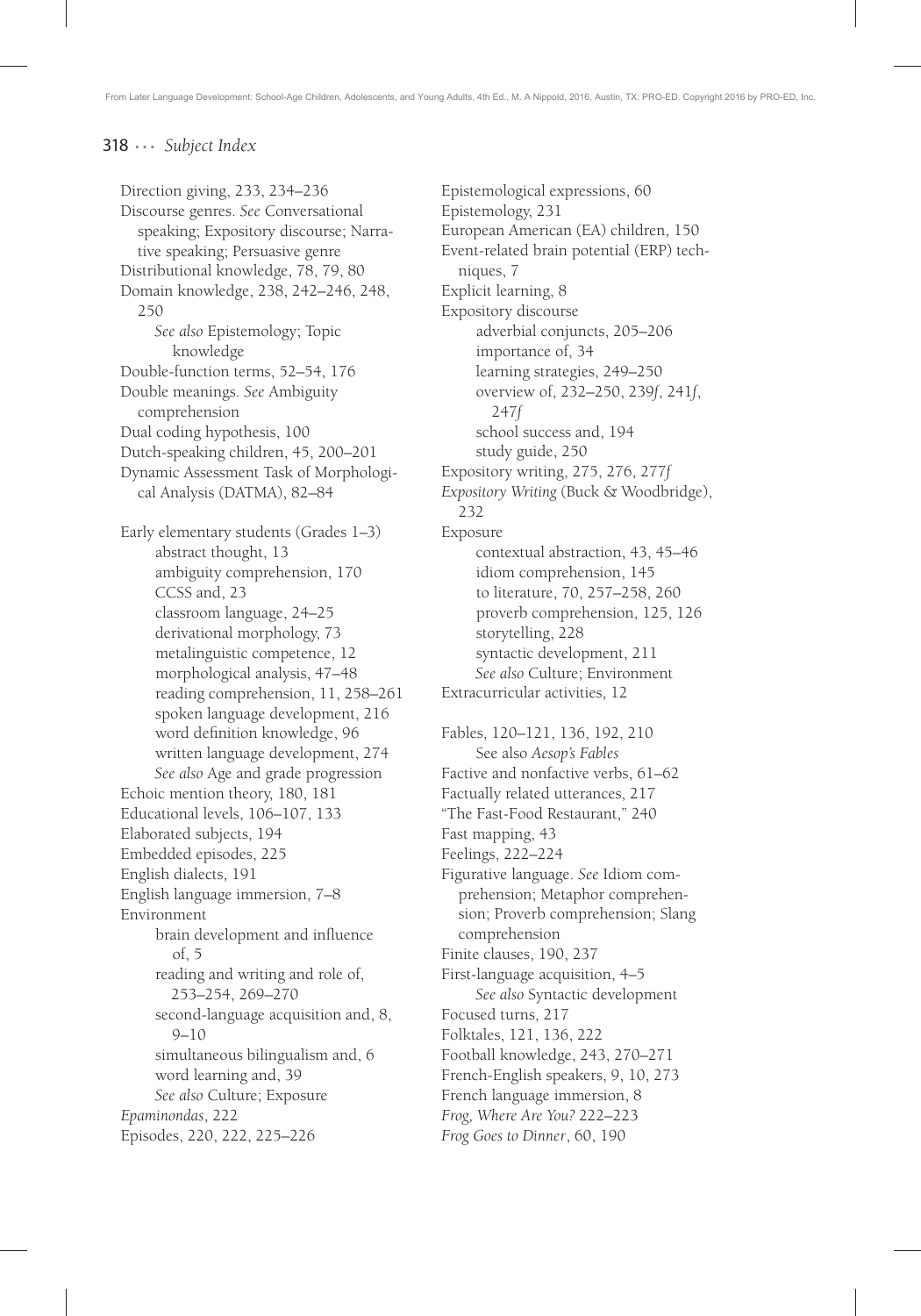From Later Language Development: School-Age Children, Adolescents, and Young Adults, 4th Ed., M. A Nippold, 2016, Austin, TX: PRO-ED. Copyright 2016 by PRO-ED, Inc.

## 318 ... *Subject Index*

Direction giving, 233, 234–236 Discourse genres. *See* Conversational speaking; Expository discourse; Narrative speaking; Persuasive genre Distributional knowledge, 78, 79, 80 Domain knowledge, 238, 242–246, 248, 250 *See also* Epistemology; Topic knowledge Double-function terms, 52–54, 176 Double meanings. *See* Ambiguity comprehension Dual coding hypothesis, 100 Dutch-speaking children, 45, 200–201 Dynamic Assessment Task of Morphological Analysis (DATMA), 82–84 Early elementary students (Grades 1–3) abstract thought, 13 ambiguity comprehension, 170 CCSS and, 23 classroom language, 24–25 derivational morphology, 73 metalinguistic competence, 12 morphological analysis, 47–48 reading comprehension, 11, 258–261 spoken language development, 216 word definition knowledge, 96 written language development, 274 *See also* Age and grade progression Echoic mention theory, 180, 181 Educational levels, 106–107, 133 Elaborated subjects, 194 Embedded episodes, 225 English dialects, 191 English language immersion, 7–8 Environment brain development and influence of, 5 reading and writing and role of, 253–254, 269–270 second-language acquisition and, 8, 9–10 simultaneous bilingualism and, 6 word learning and, 39 *See also* Culture; Exposure *Epaminondas*, 222 Episodes, 220, 222, 225–226

Epistemological expressions, 60 Epistemology, 231 European American (EA) children, 150 Event-related brain potential (ERP) techniques, 7 Explicit learning, 8 Expository discourse adverbial conjuncts, 205–206 importance of, 34 learning strategies, 249–250 overview of, 232–250, 239*f*, 241*f*, 247*f* school success and, 194 study guide, 250 Expository writing, 275, 276, 277*f Expository Writing* (Buck & Woodbridge), 232 Exposure contextual abstraction, 43, 45–46 idiom comprehension, 145 to literature, 70, 257–258, 260 proverb comprehension, 125, 126 storytelling, 228 syntactic development, 211 *See also* Culture; Environment Extracurricular activities, 12 Fables, 120–121, 136, 192, 210 See also *Aesop's Fables* Factive and nonfactive verbs, 61–62 Factually related utterances, 217 "The Fast-Food Restaurant," 240 Fast mapping, 43 Feelings, 222–224 Figurative language. *See* Idiom comprehension; Metaphor comprehension; Proverb comprehension; Slang comprehension Finite clauses, 190, 237 First-language acquisition, 4–5 *See also* Syntactic development Focused turns, 217 Folktales, 121, 136, 222 Football knowledge, 243, 270–271 French-English speakers, 9, 10, 273 French language immersion, 8 *Frog, Where Are You?* 222–223 *Frog Goes to Dinner*, 60, 190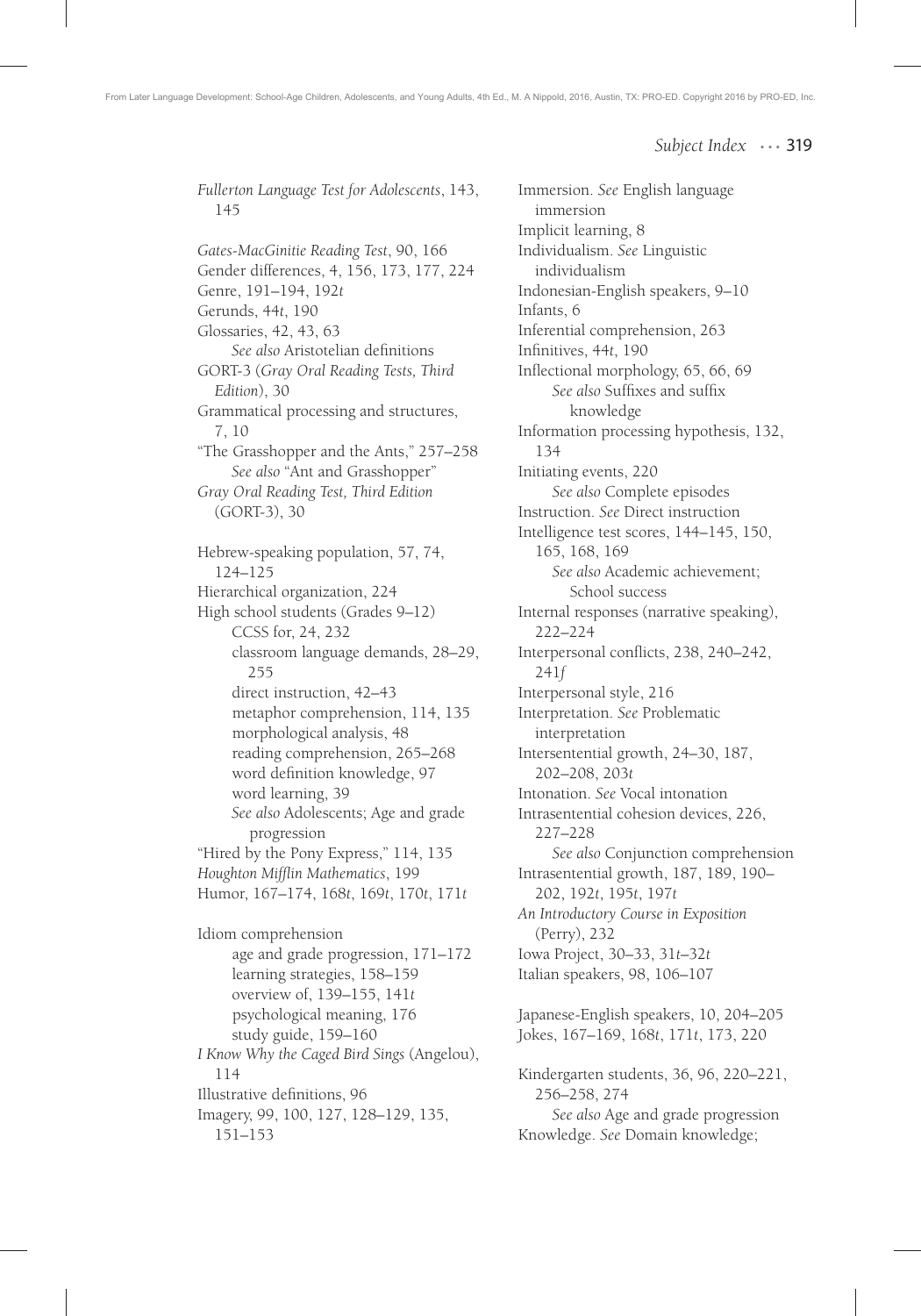*Fullerton Language Test for Adolescents*, 143, 145 *Gates-MacGinitie Reading Test*, 90, 166 Gender differences, 4, 156, 173, 177, 224 Genre, 191–194, 192*t* Gerunds, 44*t*, 190 Glossaries, 42, 43, 63 **See also Aristotelian definitions** GORT-3 (*Gray Oral Reading Tests, Third Edition*), 30 Grammatical processing and structures, 7, 10 "The Grasshopper and the Ants," 257–258 *See also* "Ant and Grasshopper" *Gray Oral Reading Test, Third Edition*  (GORT-3), 30 Hebrew-speaking population, 57, 74, 124–125 Hierarchical organization, 224 High school students (Grades 9–12) CCSS for, 24, 232 classroom language demands, 28–29, 255 direct instruction, 42–43 metaphor comprehension, 114, 135 morphological analysis, 48 reading comprehension, 265–268 word definition knowledge, 97 word learning, 39 *See also* Adolescents; Age and grade progression "Hired by the Pony Express," 114, 135 Houghton Mifflin Mathematics, 199 Humor, 167–174, 168*t*, 169*t*, 170*t*, 171*t* Idiom comprehension age and grade progression, 171–172 learning strategies, 158–159 overview of, 139–155, 141*t* psychological meaning, 176 study guide, 159–160 *I Know Why the Caged Bird Sings* (Angelou), 114 Illustrative definitions, 96 Imagery, 99, 100, 127, 128–129, 135, 151–153

Immersion. *See* English language immersion Implicit learning, 8 Individualism. *See* Linguistic individualism Indonesian-English speakers, 9–10 Infants, 6 Inferential comprehension, 263 Infi nitives, 44*t*, 190 Inflectional morphology, 65, 66, 69 See also Suffixes and suffix knowledge Information processing hypothesis, 132, 134 Initiating events, 220 *See also* Complete episodes Instruction. *See* Direct instruction Intelligence test scores, 144–145, 150, 165, 168, 169 *See also* Academic achievement; School success Internal responses (narrative speaking), 222–224 Interpersonal conflicts, 238, 240-242, 241*f* Interpersonal style, 216 Interpretation. *See* Problematic interpretation Intersentential growth, 24–30, 187, 202–208, 203*t* Intonation. *See* Vocal intonation Intrasentential cohesion devices, 226, 227–228 *See also* Conjunction comprehension Intrasentential growth, 187, 189, 190– 202, 192*t*, 195*t*, 197*t An Introductory Course in Exposition*  (Perry), 232 Iowa Project, 30–33, 31*t*–32*t* Italian speakers, 98, 106–107 Japanese-English speakers, 10, 204–205 Jokes, 167–169, 168*t*, 171*t*, 173, 220 Kindergarten students, 36, 96, 220–221, 256–258, 274 *See also* Age and grade progression Knowledge. *See* Domain knowledge;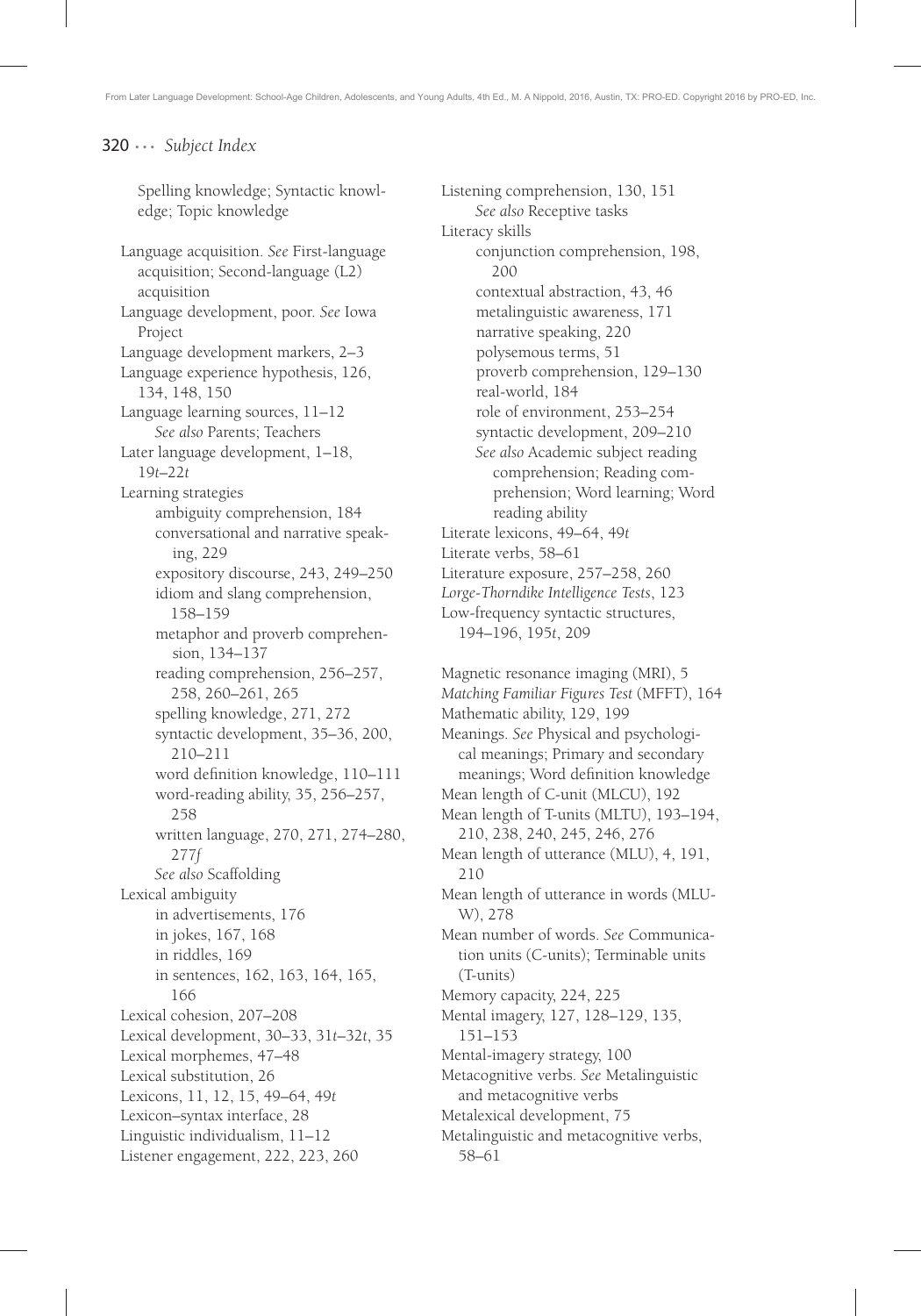Spelling knowledge; Syntactic knowledge; Topic knowledge

Language acquisition. *See* First-language acquisition; Second-language (L2) acquisition Language development, poor. *See* Iowa Project Language development markers, 2–3 Language experience hypothesis, 126, 134, 148, 150 Language learning sources, 11–12 *See also* Parents; Teachers Later language development, 1–18, 19*t*–22*t* Learning strategies ambiguity comprehension, 184 conversational and narrative speaking, 229 expository discourse, 243, 249–250 idiom and slang comprehension, 158–159 metaphor and proverb comprehension, 134–137 reading comprehension, 256–257, 258, 260–261, 265 spelling knowledge, 271, 272 syntactic development, 35–36, 200, 210–211 word definition knowledge, 110–111 word-reading ability, 35, 256–257, 258 written language, 270, 271, 274–280, 277*f See also* Scaffolding Lexical ambiguity in advertisements, 176 in jokes, 167, 168 in riddles, 169 in sentences, 162, 163, 164, 165, 166 Lexical cohesion, 207–208 Lexical development, 30–33, 31*t*–32*t*, 35 Lexical morphemes, 47–48 Lexical substitution, 26 Lexicons, 11, 12, 15, 49–64, 49*t* Lexicon–syntax interface, 28 Linguistic individualism, 11–12 Listener engagement, 222, 223, 260

Listening comprehension, 130, 151 *See also* Receptive tasks Literacy skills conjunction comprehension, 198, 200 contextual abstraction, 43, 46 metalinguistic awareness, 171 narrative speaking, 220 polysemous terms, 51 proverb comprehension, 129–130 real-world, 184 role of environment, 253–254 syntactic development, 209–210 *See also* Academic subject reading comprehension; Reading comprehension; Word learning; Word reading ability Literate lexicons, 49–64, 49*t* Literate verbs, 58–61 Literature exposure, 257–258, 260 *Lorge-Thorndike Intelligence Tests*, 123 Low-frequency syntactic structures, 194–196, 195*t*, 209

Magnetic resonance imaging (MRI), 5 *Matching Familiar Figures Test* (MFFT), 164 Mathematic ability, 129, 199 Meanings. *See* Physical and psychological meanings; Primary and secondary meanings; Word definition knowledge Mean length of C-unit (MLCU), 192 Mean length of T-units (MLTU), 193–194, 210, 238, 240, 245, 246, 276 Mean length of utterance (MLU), 4, 191, 210 Mean length of utterance in words (MLU-W), 278 Mean number of words. *See* Communication units (C-units); Terminable units (T-units) Memory capacity, 224, 225 Mental imagery, 127, 128–129, 135, 151–153 Mental-imagery strategy, 100 Metacognitive verbs. *See* Metalinguistic and metacognitive verbs Metalexical development, 75 Metalinguistic and metacognitive verbs, 58–61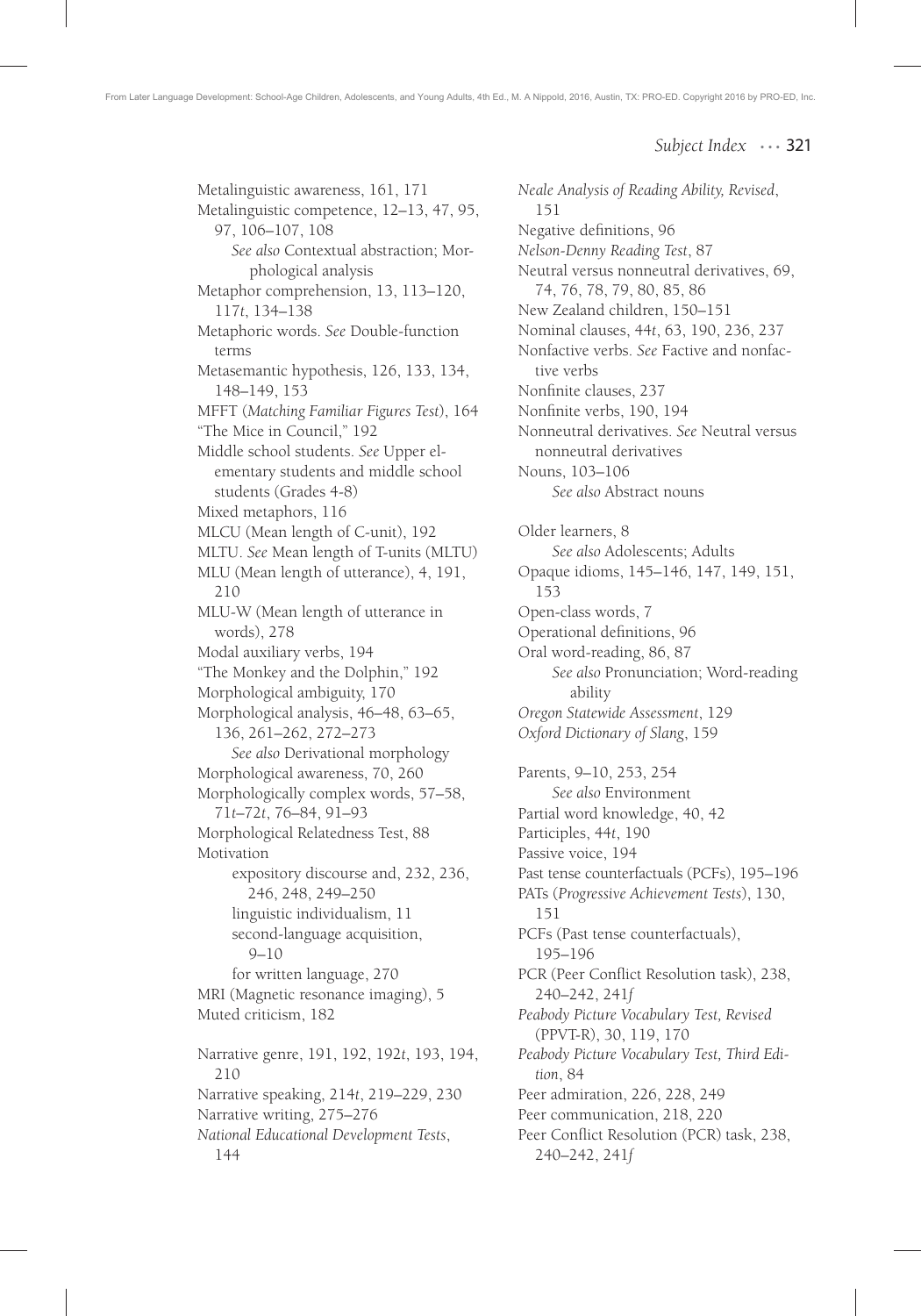Metalinguistic awareness, 161, 171 Metalinguistic competence, 12–13, 47, 95, 97, 106–107, 108 *See also* Contextual abstraction; Morphological analysis Metaphor comprehension, 13, 113–120, 117*t*, 134–138 Metaphoric words. *See* Double-function terms Metasemantic hypothesis, 126, 133, 134, 148–149, 153 MFFT (*Matching Familiar Figures Test*), 164 "The Mice in Council," 192 Middle school students. *See* Upper elementary students and middle school students (Grades 4-8) Mixed metaphors, 116 MLCU (Mean length of C-unit), 192 MLTU. *See* Mean length of T-units (MLTU) MLU (Mean length of utterance), 4, 191, 210 MLU-W (Mean length of utterance in words), 278 Modal auxiliary verbs, 194 "The Monkey and the Dolphin," 192 Morphological ambiguity, 170 Morphological analysis, 46–48, 63–65, 136, 261–262, 272–273 *See also* Derivational morphology Morphological awareness, 70, 260 Morphologically complex words, 57–58, 71*t*–72*t*, 76–84, 91–93 Morphological Relatedness Test, 88 Motivation expository discourse and, 232, 236, 246, 248, 249–250 linguistic individualism, 11 second-language acquisition, 9–10 for written language, 270 MRI (Magnetic resonance imaging), 5 Muted criticism, 182 Narrative genre, 191, 192, 192*t*, 193, 194, 210 Narrative speaking, 214*t*, 219–229, 230 Narrative writing, 275–276 *National Educational Development Tests*, 144

*Neale Analysis of Reading Ability, Revised*, 151 Negative definitions, 96 *Nelson-Denny Reading Test*, 87 Neutral versus nonneutral derivatives, 69, 74, 76, 78, 79, 80, 85, 86 New Zealand children, 150–151 Nominal clauses, 44*t*, 63, 190, 236, 237 Nonfactive verbs. *See* Factive and nonfactive verbs Nonfinite clauses, 237 Nonfinite verbs, 190, 194 Nonneutral derivatives. *See* Neutral versus nonneutral derivatives Nouns, 103–106 *See also* Abstract nouns Older learners, 8 *See also* Adolescents; Adults Opaque idioms, 145–146, 147, 149, 151, 153 Open-class words, 7 Operational definitions, 96 Oral word-reading, 86, 87 *See also* Pronunciation; Word-reading ability *Oregon Statewide Assessment*, 129 *Oxford Dictionary of Slang*, 159 Parents, 9–10, 253, 254 *See also* Environment Partial word knowledge, 40, 42 Participles, 44*t*, 190 Passive voice, 194 Past tense counterfactuals (PCFs), 195–196 PATs (*Progressive Achievement Tests*), 130, 151 PCFs (Past tense counterfactuals), 195–196 PCR (Peer Conflict Resolution task), 238, 240–242, 241*f Peabody Picture Vocabulary Test, Revised* (PPVT-R), 30, 119, 170 *Peabody Picture Vocabulary Test, Third Edition*, 84 Peer admiration, 226, 228, 249 Peer communication, 218, 220 Peer Conflict Resolution (PCR) task, 238, 240–242, 241*f*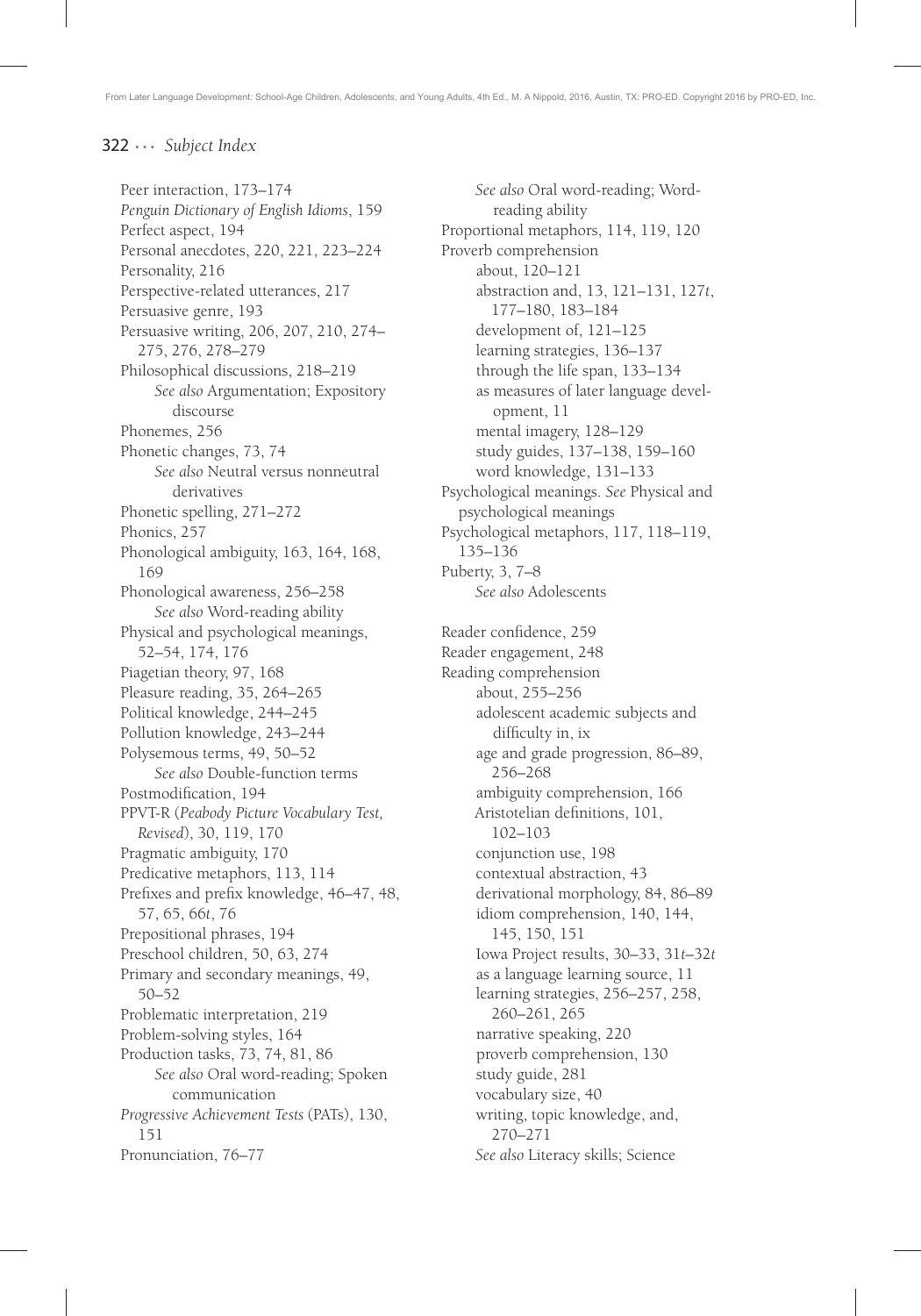Peer interaction, 173–174 *Penguin Dictionary of English Idioms*, 159 Perfect aspect, 194 Personal anecdotes, 220, 221, 223–224 Personality, 216 Perspective-related utterances, 217 Persuasive genre, 193 Persuasive writing, 206, 207, 210, 274– 275, 276, 278–279 Philosophical discussions, 218–219 *See also* Argumentation; Expository discourse Phonemes, 256 Phonetic changes, 73, 74 *See also* Neutral versus nonneutral derivatives Phonetic spelling, 271–272 Phonics, 257 Phonological ambiguity, 163, 164, 168, 169 Phonological awareness, 256–258 *See also* Word-reading ability Physical and psychological meanings, 52–54, 174, 176 Piagetian theory, 97, 168 Pleasure reading, 35, 264–265 Political knowledge, 244–245 Pollution knowledge, 243–244 Polysemous terms, 49, 50–52 *See also* Double-function terms Postmodification, 194 PPVT-R (*Peabody Picture Vocabulary Test, Revised*), 30, 119, 170 Pragmatic ambiguity, 170 Predicative metaphors, 113, 114 Prefixes and prefix knowledge, 46–47, 48, 57, 65, 66*t*, 76 Prepositional phrases, 194 Preschool children, 50, 63, 274 Primary and secondary meanings, 49, 50–52 Problematic interpretation, 219 Problem-solving styles, 164 Production tasks, 73, 74, 81, 86 *See also* Oral word-reading; Spoken communication *Progressive Achievement Tests* (PATs), 130, 151 Pronunciation, 76–77

*See also* Oral word-reading; Wordreading ability Proportional metaphors, 114, 119, 120 Proverb comprehension about, 120–121 abstraction and, 13, 121–131, 127*t*, 177–180, 183–184 development of, 121–125 learning strategies, 136–137 through the life span, 133–134 as measures of later language development, 11 mental imagery, 128–129 study guides, 137–138, 159–160 word knowledge, 131–133 Psychological meanings. *See* Physical and psychological meanings Psychological metaphors, 117, 118–119, 135–136 Puberty, 3, 7–8 *See also* Adolescents Reader confidence, 259 Reader engagement, 248 Reading comprehension about, 255–256 adolescent academic subjects and difficulty in, ix age and grade progression, 86–89, 256–268 ambiguity comprehension, 166 Aristotelian definitions, 101, 102–103 conjunction use, 198 contextual abstraction, 43 derivational morphology, 84, 86–89 idiom comprehension, 140, 144, 145, 150, 151 Iowa Project results, 30–33, 31*t*–32*t* as a language learning source, 11 learning strategies, 256–257, 258, 260–261, 265 narrative speaking, 220 proverb comprehension, 130 study guide, 281 vocabulary size, 40 writing, topic knowledge, and, 270–271 *See also* Literacy skills; Science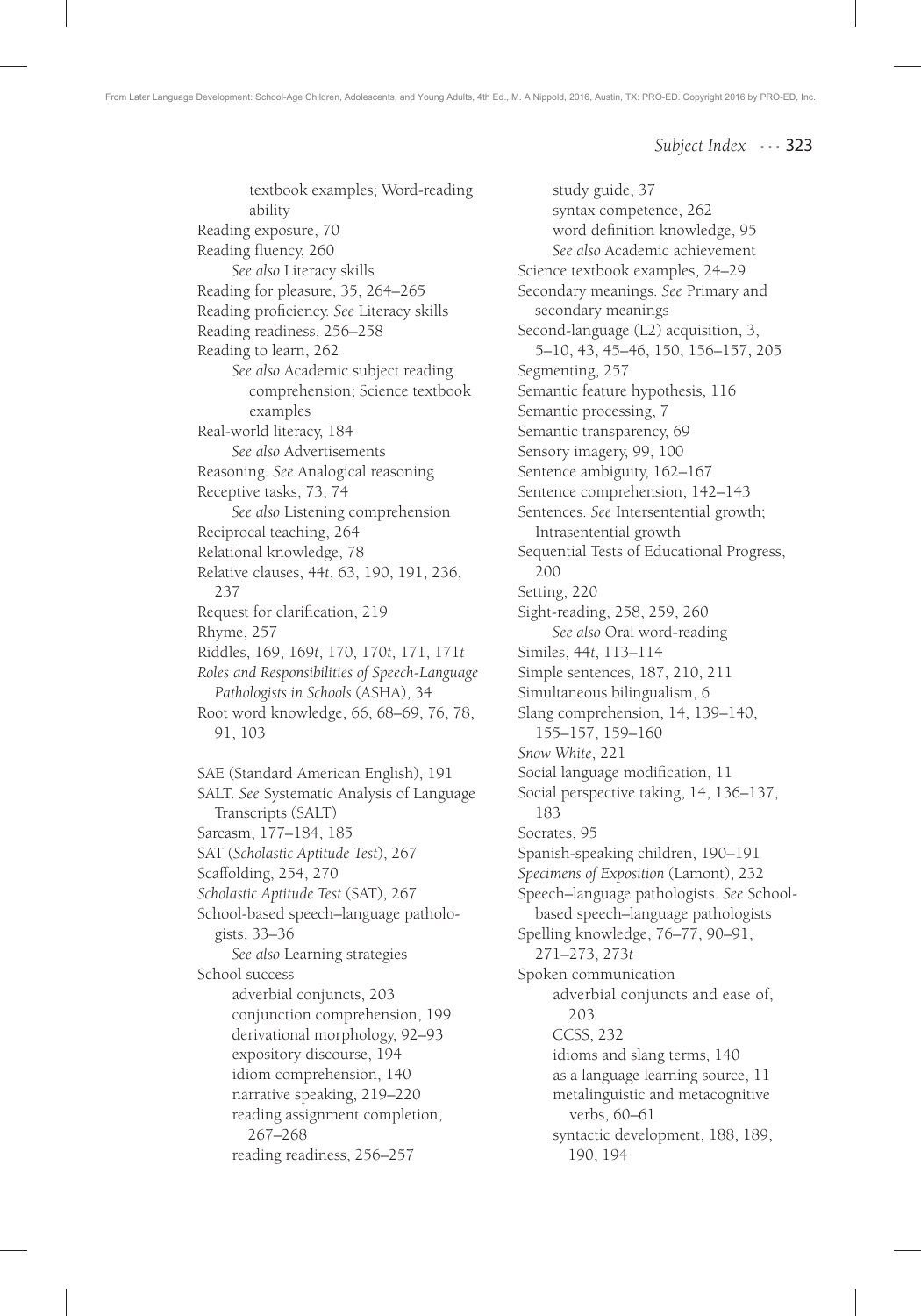textbook examples; Word-reading ability Reading exposure, 70 Reading fluency, 260 *See also* Literacy skills Reading for pleasure, 35, 264–265 Reading proficiency. See Literacy skills Reading readiness, 256–258 Reading to learn, 262 *See also* Academic subject reading comprehension; Science textbook examples Real-world literacy, 184 *See also* Advertisements Reasoning. *See* Analogical reasoning Receptive tasks, 73, 74 *See also* Listening comprehension Reciprocal teaching, 264 Relational knowledge, 78 Relative clauses, 44*t*, 63, 190, 191, 236, 237 Request for clarification, 219 Rhyme, 257 Riddles, 169, 169*t*, 170, 170*t*, 171, 171*t Roles and Responsibilities of Speech-Language Pathologists in Schools* (ASHA), 34 Root word knowledge, 66, 68–69, 76, 78, 91, 103 SAE (Standard American English), 191 SALT. *See* Systematic Analysis of Language Transcripts (SALT) Sarcasm, 177–184, 185 SAT (*Scholastic Aptitude Test*), 267 Scaffolding, 254, 270 *Scholastic Aptitude Test* (SAT), 267 School-based speech–language pathologists, 33–36 *See also* Learning strategies School success adverbial conjuncts, 203 conjunction comprehension, 199 derivational morphology, 92–93 expository discourse, 194 idiom comprehension, 140 narrative speaking, 219–220

reading assignment completion, 267–268 reading readiness, 256–257

study guide, 37 syntax competence, 262 word definition knowledge, 95 *See also* Academic achievement Science textbook examples, 24–29 Secondary meanings. *See* Primary and secondary meanings Second-language (L2) acquisition, 3, 5–10, 43, 45–46, 150, 156–157, 205 Segmenting, 257 Semantic feature hypothesis, 116 Semantic processing, 7 Semantic transparency, 69 Sensory imagery, 99, 100 Sentence ambiguity, 162–167 Sentence comprehension, 142–143 Sentences. *See* Intersentential growth; Intrasentential growth Sequential Tests of Educational Progress, 200 Setting, 220 Sight-reading, 258, 259, 260 *See also* Oral word-reading Similes, 44*t*, 113–114 Simple sentences, 187, 210, 211 Simultaneous bilingualism, 6 Slang comprehension, 14, 139–140, 155–157, 159–160 *Snow White*, 221 Social language modification, 11 Social perspective taking, 14, 136–137, 183 Socrates, 95 Spanish-speaking children, 190–191 *Specimens of Exposition* (Lamont), 232 Speech–language pathologists. *See* Schoolbased speech–language pathologists Spelling knowledge, 76–77, 90–91, 271–273, 273*t* Spoken communication adverbial conjuncts and ease of, 203 CCSS, 232 idioms and slang terms, 140 as a language learning source, 11 metalinguistic and metacognitive verbs, 60–61 syntactic development, 188, 189, 190, 194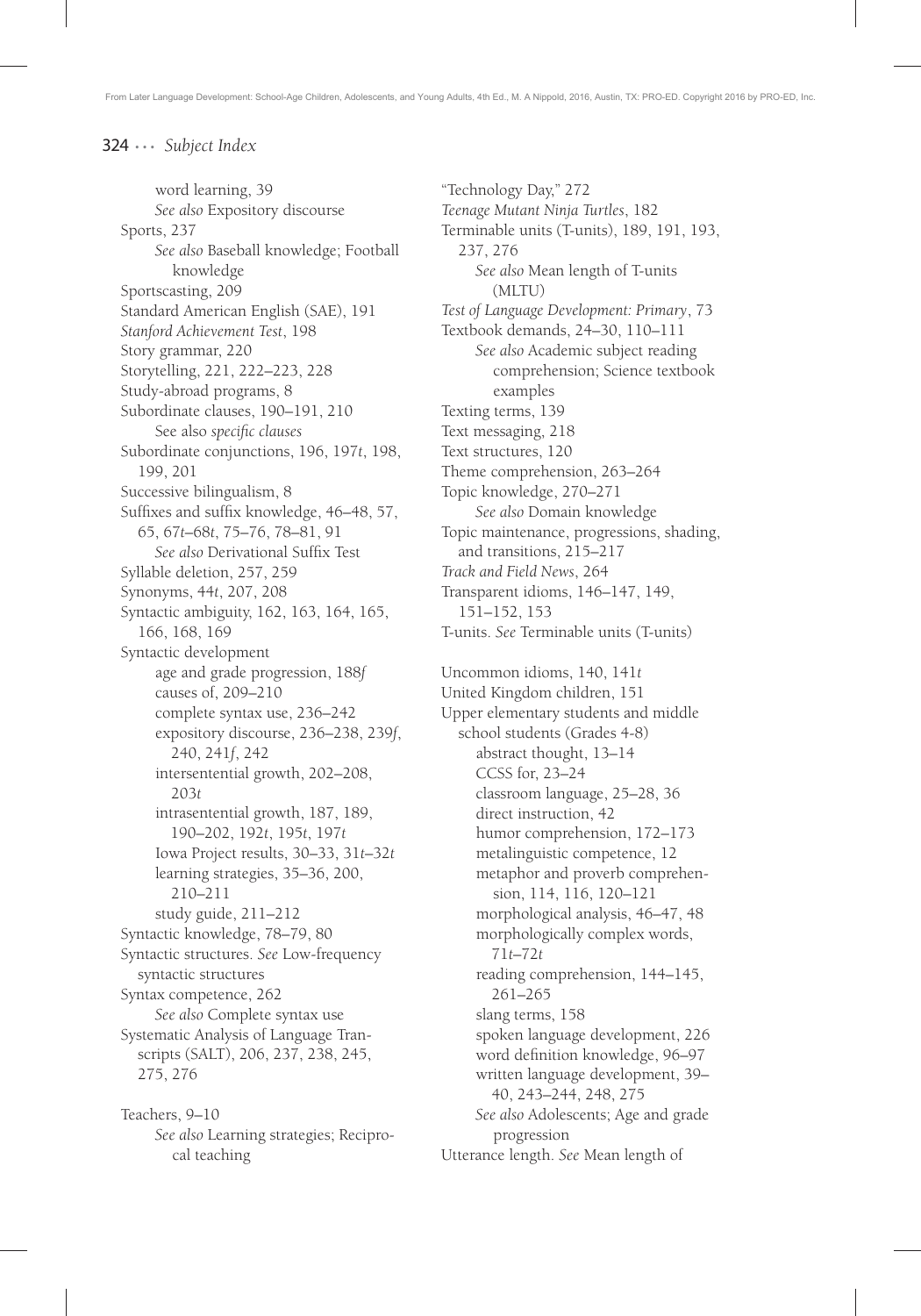word learning, 39 *See also* Expository discourse Sports, 237 *See also* Baseball knowledge; Football knowledge Sportscasting, 209 Standard American English (SAE), 191 *Stanford Achievement Test*, 198 Story grammar, 220 Storytelling, 221, 222–223, 228 Study-abroad programs, 8 Subordinate clauses, 190–191, 210 See also *specific* clauses Subordinate conjunctions, 196, 197*t*, 198, 199, 201 Successive bilingualism, 8 Suffixes and suffix knowledge, 46–48, 57, 65, 67*t*–68*t*, 75–76, 78–81, 91 See also Derivational Suffix Test Syllable deletion, 257, 259 Synonyms, 44*t*, 207, 208 Syntactic ambiguity, 162, 163, 164, 165, 166, 168, 169 Syntactic development age and grade progression, 188*f* causes of, 209–210 complete syntax use, 236–242 expository discourse, 236–238, 239*f*, 240, 241*f*, 242 intersentential growth, 202–208, 203*t* intrasentential growth, 187, 189, 190–202, 192*t*, 195*t*, 197*t* Iowa Project results, 30–33, 31*t*–32*t* learning strategies, 35–36, 200, 210–211 study guide, 211–212 Syntactic knowledge, 78–79, 80 Syntactic structures. *See* Low-frequency syntactic structures Syntax competence, 262 *See also* Complete syntax use Systematic Analysis of Language Transcripts (SALT), 206, 237, 238, 245, 275, 276 Teachers, 9–10

*See also* Learning strategies; Reciprocal teaching

"Technology Day," 272 *Teenage Mutant Ninja Turtles*, 182 Terminable units (T-units), 189, 191, 193, 237, 276 *See also* Mean length of T-units (MLTU) *Test of Language Development: Primary*, 73 Textbook demands, 24–30, 110–111 *See also* Academic subject reading comprehension; Science textbook examples Texting terms, 139 Text messaging, 218 Text structures, 120 Theme comprehension, 263–264 Topic knowledge, 270–271 *See also* Domain knowledge Topic maintenance, progressions, shading, and transitions, 215–217 *Track and Field News*, 264 Transparent idioms, 146–147, 149, 151–152, 153 T-units. *See* Terminable units (T-units)

Uncommon idioms, 140, 141*t* United Kingdom children, 151 Upper elementary students and middle school students (Grades 4-8) abstract thought, 13–14 CCSS for, 23–24 classroom language, 25–28, 36 direct instruction, 42 humor comprehension, 172–173 metalinguistic competence, 12 metaphor and proverb comprehension, 114, 116, 120–121 morphological analysis, 46–47, 48 morphologically complex words, 71*t*–72*t* reading comprehension, 144–145, 261–265 slang terms, 158 spoken language development, 226 word definition knowledge, 96-97 written language development, 39– 40, 243–244, 248, 275 *See also* Adolescents; Age and grade progression Utterance length. *See* Mean length of